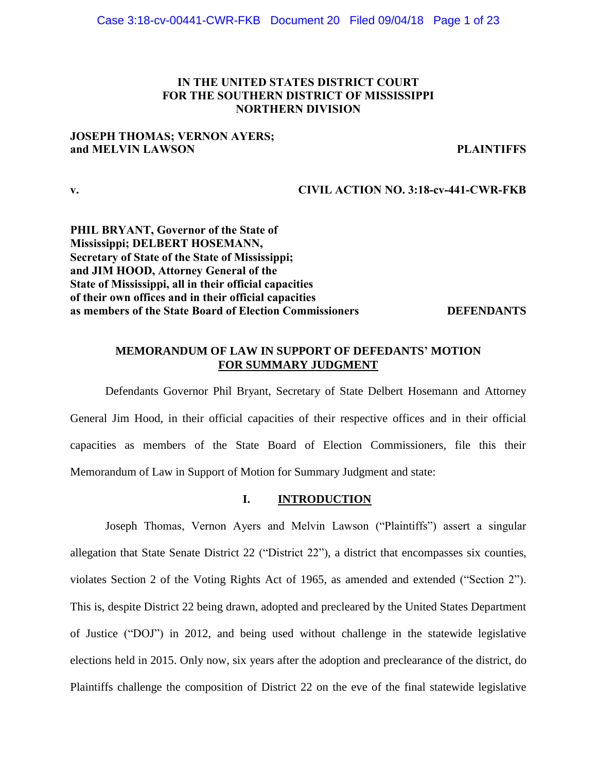## **IN THE UNITED STATES DISTRICT COURT FOR THE SOUTHERN DISTRICT OF MISSISSIPPI NORTHERN DIVISION**

## **JOSEPH THOMAS; VERNON AYERS; and MELVIN LAWSON PLAINTIFFS**

**v. CIVIL ACTION NO. 3:18-cv-441-CWR-FKB**

**PHIL BRYANT, Governor of the State of Mississippi; DELBERT HOSEMANN, Secretary of State of the State of Mississippi; and JIM HOOD, Attorney General of the State of Mississippi, all in their official capacities of their own offices and in their official capacities as members of the State Board of Election Commissioners DEFENDANTS**

## **MEMORANDUM OF LAW IN SUPPORT OF DEFEDANTS' MOTION FOR SUMMARY JUDGMENT**

Defendants Governor Phil Bryant, Secretary of State Delbert Hosemann and Attorney General Jim Hood, in their official capacities of their respective offices and in their official capacities as members of the State Board of Election Commissioners, file this their Memorandum of Law in Support of Motion for Summary Judgment and state:

## **I. INTRODUCTION**

Joseph Thomas, Vernon Ayers and Melvin Lawson ("Plaintiffs") assert a singular allegation that State Senate District 22 ("District 22"), a district that encompasses six counties, violates Section 2 of the Voting Rights Act of 1965, as amended and extended ("Section 2"). This is, despite District 22 being drawn, adopted and precleared by the United States Department of Justice ("DOJ") in 2012, and being used without challenge in the statewide legislative elections held in 2015. Only now, six years after the adoption and preclearance of the district, do Plaintiffs challenge the composition of District 22 on the eve of the final statewide legislative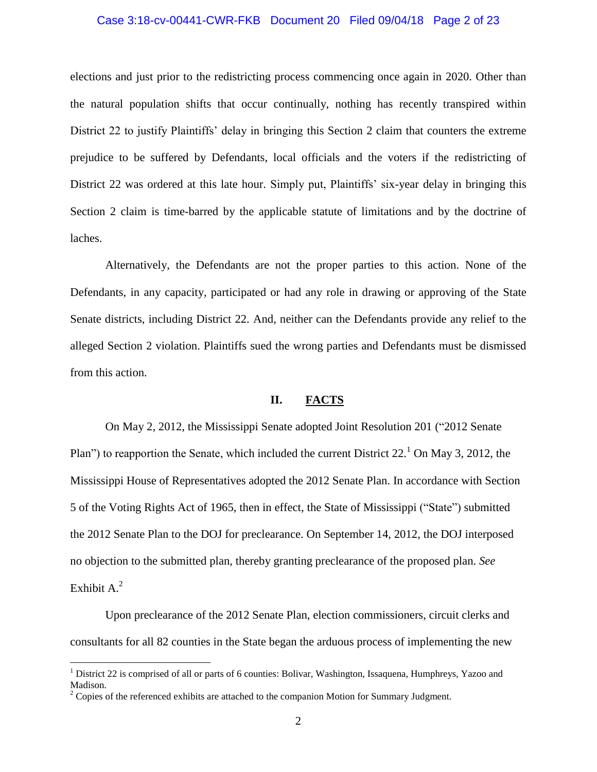### Case 3:18-cv-00441-CWR-FKB Document 20 Filed 09/04/18 Page 2 of 23

elections and just prior to the redistricting process commencing once again in 2020. Other than the natural population shifts that occur continually, nothing has recently transpired within District 22 to justify Plaintiffs' delay in bringing this Section 2 claim that counters the extreme prejudice to be suffered by Defendants, local officials and the voters if the redistricting of District 22 was ordered at this late hour. Simply put, Plaintiffs' six-year delay in bringing this Section 2 claim is time-barred by the applicable statute of limitations and by the doctrine of laches.

Alternatively, the Defendants are not the proper parties to this action. None of the Defendants, in any capacity, participated or had any role in drawing or approving of the State Senate districts, including District 22. And, neither can the Defendants provide any relief to the alleged Section 2 violation. Plaintiffs sued the wrong parties and Defendants must be dismissed from this action.

## **II. FACTS**

On May 2, 2012, the Mississippi Senate adopted Joint Resolution 201 ("2012 Senate Plan") to reapportion the Senate, which included the current District  $22.^1$  On May 3, 2012, the Mississippi House of Representatives adopted the 2012 Senate Plan. In accordance with Section 5 of the Voting Rights Act of 1965, then in effect, the State of Mississippi ("State") submitted the 2012 Senate Plan to the DOJ for preclearance. On September 14, 2012, the DOJ interposed no objection to the submitted plan, thereby granting preclearance of the proposed plan. *See* Exhibit A.<sup>2</sup>

Upon preclearance of the 2012 Senate Plan, election commissioners, circuit clerks and consultants for all 82 counties in the State began the arduous process of implementing the new

<sup>&</sup>lt;sup>1</sup> District 22 is comprised of all or parts of 6 counties: Bolivar, Washington, Issaquena, Humphreys, Yazoo and Madison.

 $2^2$  Copies of the referenced exhibits are attached to the companion Motion for Summary Judgment.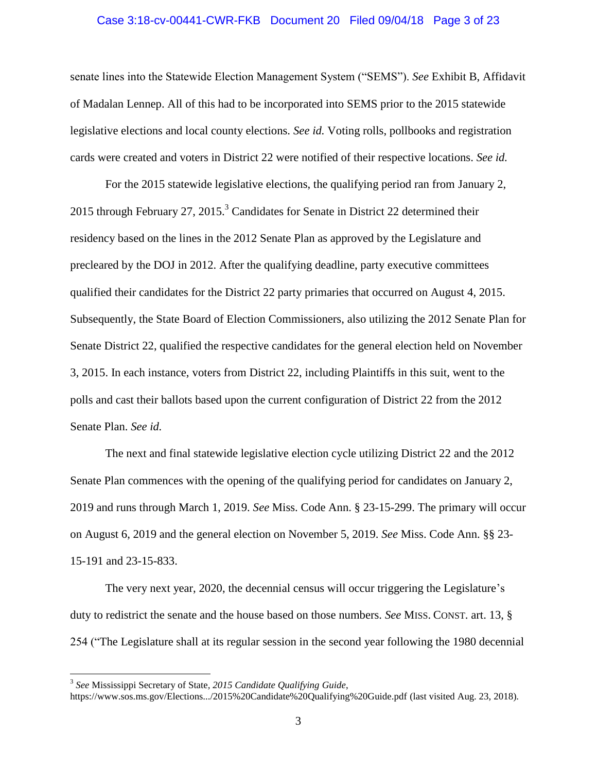# Case 3:18-cv-00441-CWR-FKB Document 20 Filed 09/04/18 Page 3 of 23

senate lines into the Statewide Election Management System ("SEMS"). *See* Exhibit B, Affidavit of Madalan Lennep. All of this had to be incorporated into SEMS prior to the 2015 statewide legislative elections and local county elections. *See id.* Voting rolls, pollbooks and registration cards were created and voters in District 22 were notified of their respective locations. *See id.*

For the 2015 statewide legislative elections, the qualifying period ran from January 2, 2015 through February 27, 2015.<sup>3</sup> Candidates for Senate in District 22 determined their residency based on the lines in the 2012 Senate Plan as approved by the Legislature and precleared by the DOJ in 2012. After the qualifying deadline, party executive committees qualified their candidates for the District 22 party primaries that occurred on August 4, 2015. Subsequently, the State Board of Election Commissioners, also utilizing the 2012 Senate Plan for Senate District 22, qualified the respective candidates for the general election held on November 3, 2015. In each instance, voters from District 22, including Plaintiffs in this suit, went to the polls and cast their ballots based upon the current configuration of District 22 from the 2012 Senate Plan. *See id.*

The next and final statewide legislative election cycle utilizing District 22 and the 2012 Senate Plan commences with the opening of the qualifying period for candidates on January 2, 2019 and runs through March 1, 2019. *See* Miss. Code Ann. § 23-15-299. The primary will occur on August 6, 2019 and the general election on November 5, 2019. *See* Miss. Code Ann. §§ 23- 15-191 and 23-15-833.

The very next year, 2020, the decennial census will occur triggering the Legislature's duty to redistrict the senate and the house based on those numbers. *See* MISS. CONST. art. 13, § 254 ("The Legislature shall at its regular session in the second year following the 1980 decennial

<sup>3</sup> *See* Mississippi Secretary of State*, 2015 Candidate Qualifying Guide*,

https://www.sos.ms.gov/Elections.../2015%20Candidate%20Qualifying%20Guide.pdf (last visited Aug. 23, 2018).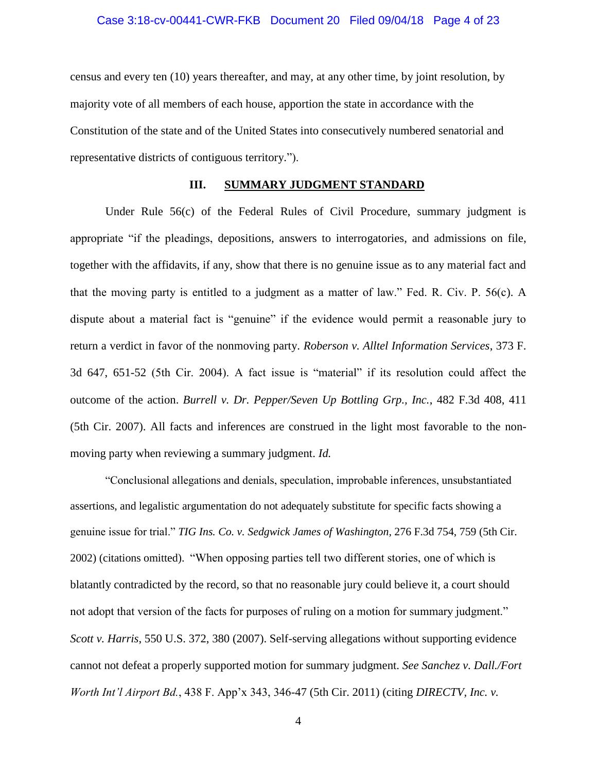### Case 3:18-cv-00441-CWR-FKB Document 20 Filed 09/04/18 Page 4 of 23

census and every ten (10) years thereafter, and may, at any other time, by joint resolution, by majority vote of all members of each house, apportion the state in accordance with the Constitution of the state and of the United States into consecutively numbered senatorial and representative districts of contiguous territory.").

### **III. SUMMARY JUDGMENT STANDARD**

Under Rule 56(c) of the Federal Rules of Civil Procedure, summary judgment is appropriate "if the pleadings, depositions, answers to interrogatories, and admissions on file, together with the affidavits, if any, show that there is no genuine issue as to any material fact and that the moving party is entitled to a judgment as a matter of law." Fed. R. Civ. P. 56(c). A dispute about a material fact is "genuine" if the evidence would permit a reasonable jury to return a verdict in favor of the nonmoving party. *Roberson v. Alltel Information Services*, 373 F. 3d 647, 651-52 (5th Cir. 2004). A fact issue is "material" if its resolution could affect the outcome of the action. *Burrell v. Dr. Pepper/Seven Up Bottling Grp., Inc.*, 482 F.3d 408, 411 (5th Cir. 2007). All facts and inferences are construed in the light most favorable to the nonmoving party when reviewing a summary judgment. *Id.*

"Conclusional allegations and denials, speculation, improbable inferences, unsubstantiated assertions, and legalistic argumentation do not adequately substitute for specific facts showing a genuine issue for trial." *TIG Ins. Co. v. Sedgwick James of Washington,* 276 F.3d 754, 759 (5th Cir. 2002) (citations omitted). "When opposing parties tell two different stories, one of which is blatantly contradicted by the record, so that no reasonable jury could believe it, a court should not adopt that version of the facts for purposes of ruling on a motion for summary judgment." *Scott v. Harris*, 550 U.S. 372, 380 (2007). Self-serving allegations without supporting evidence cannot not defeat a properly supported motion for summary judgment. *See Sanchez v. Dall./Fort Worth Int'l Airport Bd.*, 438 F. App'x 343, 346-47 (5th Cir. 2011) (citing *DIRECTV, Inc. v.* 

4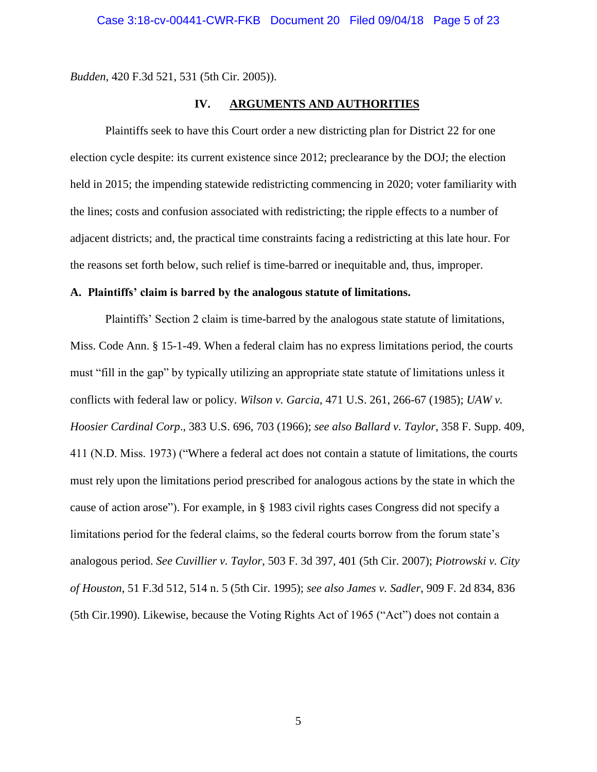*Budden*, 420 F.3d 521, 531 (5th Cir. 2005)).

## **IV. ARGUMENTS AND AUTHORITIES**

Plaintiffs seek to have this Court order a new districting plan for District 22 for one election cycle despite: its current existence since 2012; preclearance by the DOJ; the election held in 2015; the impending statewide redistricting commencing in 2020; voter familiarity with the lines; costs and confusion associated with redistricting; the ripple effects to a number of adjacent districts; and, the practical time constraints facing a redistricting at this late hour. For the reasons set forth below, such relief is time-barred or inequitable and, thus, improper.

## **A. Plaintiffs' claim is barred by the analogous statute of limitations.**

Plaintiffs' Section 2 claim is time-barred by the analogous state statute of limitations, Miss. Code Ann. § 15-1-49. When a federal claim has no express limitations period, the courts must "fill in the gap" by typically utilizing an appropriate state statute of limitations unless it conflicts with federal law or policy. *Wilson v. Garcia*, 471 U.S. 261, 266-67 (1985); *UAW v. Hoosier Cardinal Corp*., 383 U.S. 696, 703 (1966); *see also Ballard v. Taylor*, 358 F. Supp. 409, 411 (N.D. Miss. 1973) ("Where a federal act does not contain a statute of limitations, the courts must rely upon the limitations period prescribed for analogous actions by the state in which the cause of action arose"). For example, in § 1983 civil rights cases Congress did not specify a limitations period for the federal claims, so the federal courts borrow from the forum state's analogous period. *See Cuvillier v. Taylor*, 503 F. 3d 397, 401 (5th Cir. 2007); *Piotrowski v. City of Houston*, 51 F.3d 512, 514 n. 5 (5th Cir. 1995); *see also James v. Sadler*, 909 F. 2d 834, 836 (5th Cir.1990). Likewise, because the Voting Rights Act of 1965 ("Act") does not contain a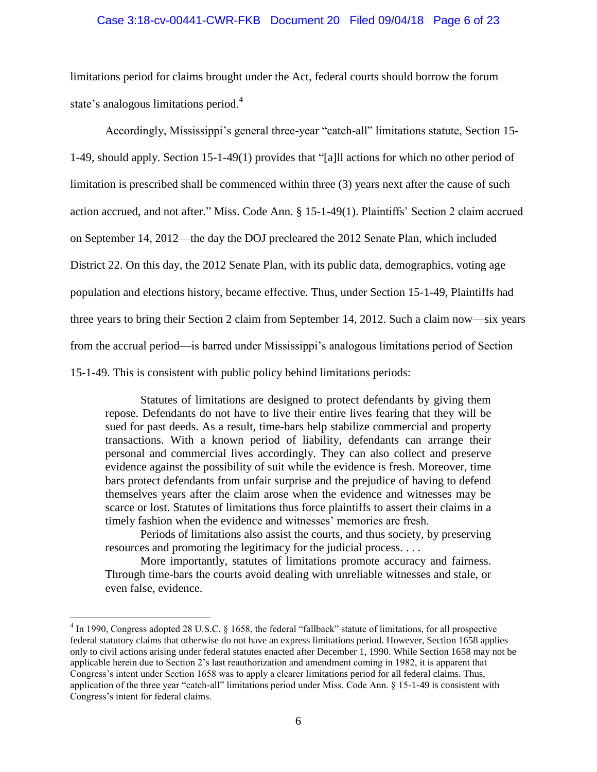### Case 3:18-cv-00441-CWR-FKB Document 20 Filed 09/04/18 Page 6 of 23

limitations period for claims brought under the Act, federal courts should borrow the forum state's analogous limitations period.<sup>4</sup>

Accordingly, Mississippi's general three-year "catch-all" limitations statute, Section 15- 1-49, should apply. Section 15-1-49(1) provides that "[a]ll actions for which no other period of limitation is prescribed shall be commenced within three (3) years next after the cause of such action accrued, and not after." Miss. Code Ann. § 15-1-49(1). Plaintiffs' Section 2 claim accrued on September 14, 2012—the day the DOJ precleared the 2012 Senate Plan, which included District 22. On this day, the 2012 Senate Plan, with its public data, demographics, voting age population and elections history, became effective. Thus, under Section 15-1-49, Plaintiffs had three years to bring their Section 2 claim from September 14, 2012. Such a claim now—six years from the accrual period—is barred under Mississippi's analogous limitations period of Section 15-1-49. This is consistent with public policy behind limitations periods:

Statutes of limitations are designed to protect defendants by giving them repose. Defendants do not have to live their entire lives fearing that they will be sued for past deeds. As a result, time-bars help stabilize commercial and property transactions. With a known period of liability, defendants can arrange their personal and commercial lives accordingly. They can also collect and preserve evidence against the possibility of suit while the evidence is fresh. Moreover, time bars protect defendants from unfair surprise and the prejudice of having to defend themselves years after the claim arose when the evidence and witnesses may be scarce or lost. Statutes of limitations thus force plaintiffs to assert their claims in a timely fashion when the evidence and witnesses' memories are fresh.

Periods of limitations also assist the courts, and thus society, by preserving resources and promoting the legitimacy for the judicial process. . . .

More importantly, statutes of limitations promote accuracy and fairness. Through time-bars the courts avoid dealing with unreliable witnesses and stale, or even false, evidence.

 $4 \text{ In } 1990$ , Congress adopted 28 U.S.C. § 1658, the federal "fallback" statute of limitations, for all prospective federal statutory claims that otherwise do not have an express limitations period. However, Section 1658 applies only to civil actions arising under federal statutes enacted after December 1, 1990. While Section 1658 may not be applicable herein due to Section 2's last reauthorization and amendment coming in 1982, it is apparent that Congress's intent under Section 1658 was to apply a clearer limitations period for all federal claims. Thus, application of the three year "catch-all" limitations period under Miss. Code Ann. § 15-1-49 is consistent with Congress's intent for federal claims.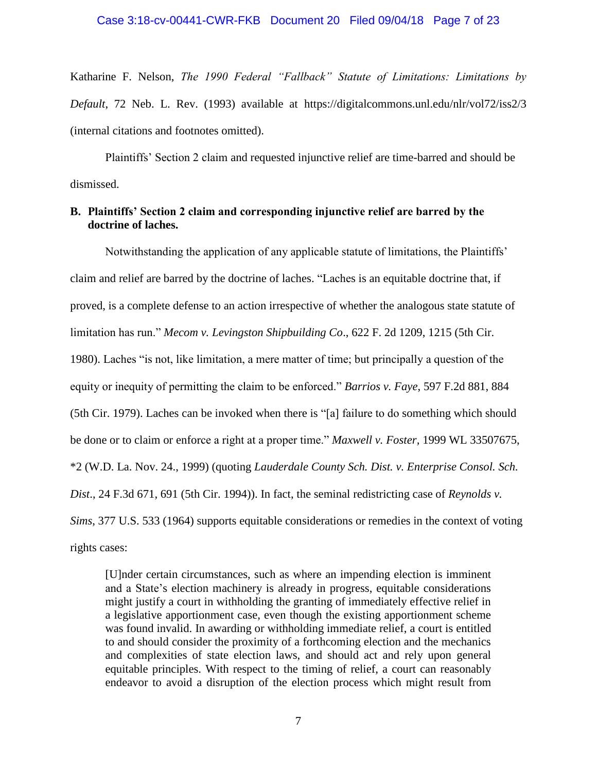Katharine F. Nelson, *The 1990 Federal "Fallback" Statute of Limitations: Limitations by Default*, 72 Neb. L. Rev. (1993) available at https://digitalcommons.unl.edu/nlr/vol72/iss2/3 (internal citations and footnotes omitted).

Plaintiffs' Section 2 claim and requested injunctive relief are time-barred and should be dismissed.

## **B. Plaintiffs' Section 2 claim and corresponding injunctive relief are barred by the doctrine of laches.**

Notwithstanding the application of any applicable statute of limitations, the Plaintiffs' claim and relief are barred by the doctrine of laches. "Laches is an equitable doctrine that, if proved, is a complete defense to an action irrespective of whether the analogous state statute of limitation has run." *Mecom v. Levingston Shipbuilding Co*., 622 F. 2d 1209, 1215 (5th Cir. 1980). Laches "is not, like limitation, a mere matter of time; but principally a question of the equity or inequity of permitting the claim to be enforced." *Barrios v. Faye*, 597 F.2d 881, 884 (5th Cir. 1979). Laches can be invoked when there is "[a] failure to do something which should be done or to claim or enforce a right at a proper time." *Maxwell v. Foster,* 1999 WL 33507675, \*2 (W.D. La. Nov. 24., 1999) (quoting *Lauderdale County Sch. Dist. v. Enterprise Consol. Sch. Dist*., 24 F.3d 671, 691 (5th Cir. 1994)). In fact, the seminal redistricting case of *Reynolds v. Sims*, 377 U.S. 533 (1964) supports equitable considerations or remedies in the context of voting rights cases:

[U]nder certain circumstances, such as where an impending election is imminent and a State's election machinery is already in progress, equitable considerations might justify a court in withholding the granting of immediately effective relief in a legislative apportionment case, even though the existing apportionment scheme was found invalid. In awarding or withholding immediate relief, a court is entitled to and should consider the proximity of a forthcoming election and the mechanics and complexities of state election laws, and should act and rely upon general equitable principles. With respect to the timing of relief, a court can reasonably endeavor to avoid a disruption of the election process which might result from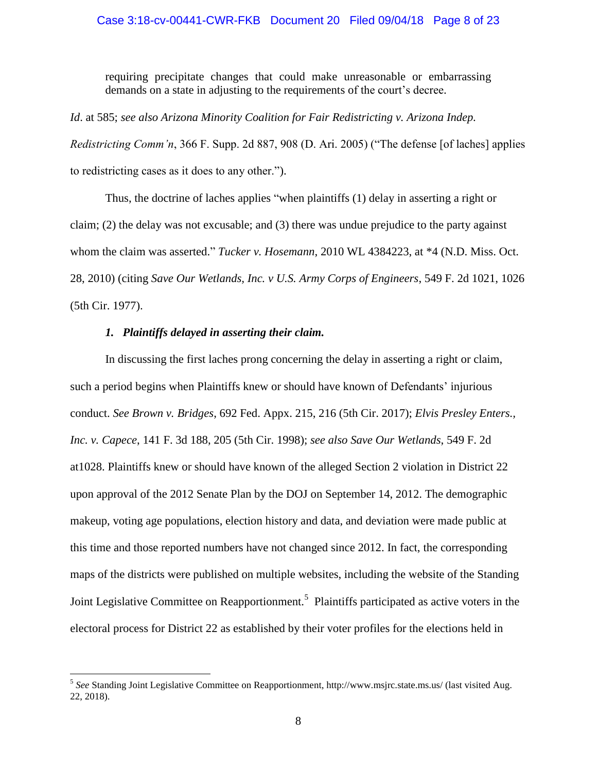### Case 3:18-cv-00441-CWR-FKB Document 20 Filed 09/04/18 Page 8 of 23

requiring precipitate changes that could make unreasonable or embarrassing demands on a state in adjusting to the requirements of the court's decree.

*Id*. at 585; *see also Arizona Minority Coalition for Fair Redistricting v. Arizona Indep. Redistricting Comm'n*, 366 F. Supp. 2d 887, 908 (D. Ari. 2005) ("The defense [of laches] applies to redistricting cases as it does to any other.").

Thus, the doctrine of laches applies "when plaintiffs (1) delay in asserting a right or claim; (2) the delay was not excusable; and (3) there was undue prejudice to the party against whom the claim was asserted." *Tucker v. Hosemann*, 2010 WL 4384223, at \*4 (N.D. Miss. Oct. 28, 2010) (citing *Save Our Wetlands, Inc. v U.S. Army Corps of Engineers*, 549 F. 2d 1021, 1026 (5th Cir. 1977).

## *1. Plaintiffs delayed in asserting their claim.*

 $\overline{a}$ 

In discussing the first laches prong concerning the delay in asserting a right or claim, such a period begins when Plaintiffs knew or should have known of Defendants' injurious conduct. *See Brown v. Bridges*, 692 Fed. Appx. 215, 216 (5th Cir. 2017); *Elvis Presley Enters., Inc. v. Capece*, 141 F. 3d 188, 205 (5th Cir. 1998); *see also Save Our Wetlands*, 549 F. 2d at1028. Plaintiffs knew or should have known of the alleged Section 2 violation in District 22 upon approval of the 2012 Senate Plan by the DOJ on September 14, 2012. The demographic makeup, voting age populations, election history and data, and deviation were made public at this time and those reported numbers have not changed since 2012. In fact, the corresponding maps of the districts were published on multiple websites, including the website of the Standing Joint Legislative Committee on Reapportionment.<sup>5</sup> Plaintiffs participated as active voters in the electoral process for District 22 as established by their voter profiles for the elections held in

<sup>5</sup> *See* Standing Joint Legislative Committee on Reapportionment, http://www.msjrc.state.ms.us/ (last visited Aug. 22, 2018).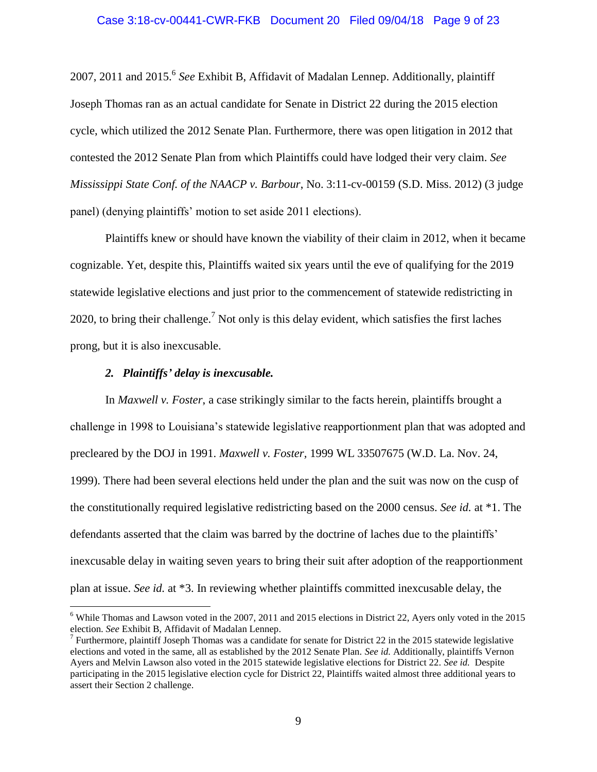# Case 3:18-cv-00441-CWR-FKB Document 20 Filed 09/04/18 Page 9 of 23

2007, 2011 and 2015. 6 *See* Exhibit B, Affidavit of Madalan Lennep. Additionally, plaintiff Joseph Thomas ran as an actual candidate for Senate in District 22 during the 2015 election cycle, which utilized the 2012 Senate Plan. Furthermore, there was open litigation in 2012 that contested the 2012 Senate Plan from which Plaintiffs could have lodged their very claim. *See Mississippi State Conf. of the NAACP v. Barbour*, No. 3:11-cv-00159 (S.D. Miss. 2012) (3 judge panel) (denying plaintiffs' motion to set aside 2011 elections).

Plaintiffs knew or should have known the viability of their claim in 2012, when it became cognizable. Yet, despite this, Plaintiffs waited six years until the eve of qualifying for the 2019 statewide legislative elections and just prior to the commencement of statewide redistricting in 2020, to bring their challenge.<sup>7</sup> Not only is this delay evident, which satisfies the first laches prong, but it is also inexcusable.

### *2. Plaintiffs' delay is inexcusable.*

 $\overline{a}$ 

In *Maxwell v. Foster*, a case strikingly similar to the facts herein, plaintiffs brought a challenge in 1998 to Louisiana's statewide legislative reapportionment plan that was adopted and precleared by the DOJ in 1991. *Maxwell v. Foster,* 1999 WL 33507675 (W.D. La. Nov. 24, 1999). There had been several elections held under the plan and the suit was now on the cusp of the constitutionally required legislative redistricting based on the 2000 census. *See id.* at \*1. The defendants asserted that the claim was barred by the doctrine of laches due to the plaintiffs' inexcusable delay in waiting seven years to bring their suit after adoption of the reapportionment plan at issue. *See id.* at \*3. In reviewing whether plaintiffs committed inexcusable delay, the

 $6$  While Thomas and Lawson voted in the 2007, 2011 and 2015 elections in District 22, Ayers only voted in the 2015 election. *See* Exhibit B, Affidavit of Madalan Lennep.

<sup>&</sup>lt;sup>7</sup> Furthermore, plaintiff Joseph Thomas was a candidate for senate for District 22 in the 2015 statewide legislative elections and voted in the same, all as established by the 2012 Senate Plan. *See id.* Additionally, plaintiffs Vernon Ayers and Melvin Lawson also voted in the 2015 statewide legislative elections for District 22. *See id.* Despite participating in the 2015 legislative election cycle for District 22, Plaintiffs waited almost three additional years to assert their Section 2 challenge.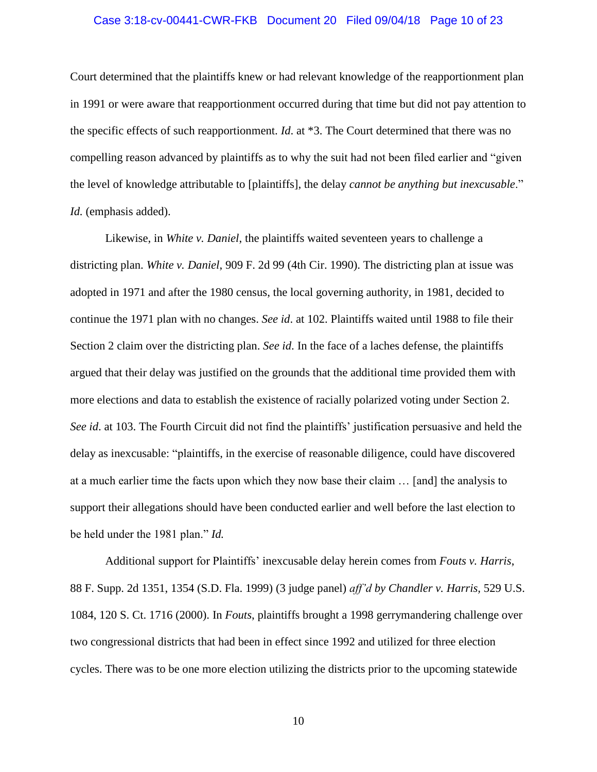### Case 3:18-cv-00441-CWR-FKB Document 20 Filed 09/04/18 Page 10 of 23

Court determined that the plaintiffs knew or had relevant knowledge of the reapportionment plan in 1991 or were aware that reapportionment occurred during that time but did not pay attention to the specific effects of such reapportionment. *Id*. at \*3. The Court determined that there was no compelling reason advanced by plaintiffs as to why the suit had not been filed earlier and "given the level of knowledge attributable to [plaintiffs], the delay *cannot be anything but inexcusable*." *Id.* (emphasis added).

Likewise, in *White v. Daniel*, the plaintiffs waited seventeen years to challenge a districting plan. *White v. Daniel*, 909 F. 2d 99 (4th Cir. 1990). The districting plan at issue was adopted in 1971 and after the 1980 census, the local governing authority, in 1981, decided to continue the 1971 plan with no changes. *See id*. at 102. Plaintiffs waited until 1988 to file their Section 2 claim over the districting plan. *See id*. In the face of a laches defense, the plaintiffs argued that their delay was justified on the grounds that the additional time provided them with more elections and data to establish the existence of racially polarized voting under Section 2. *See id*. at 103. The Fourth Circuit did not find the plaintiffs' justification persuasive and held the delay as inexcusable: "plaintiffs, in the exercise of reasonable diligence, could have discovered at a much earlier time the facts upon which they now base their claim … [and] the analysis to support their allegations should have been conducted earlier and well before the last election to be held under the 1981 plan." *Id.*

Additional support for Plaintiffs' inexcusable delay herein comes from *Fouts v. Harris*, 88 F. Supp. 2d 1351, 1354 (S.D. Fla. 1999) (3 judge panel) *aff'd by Chandler v. Harris,* 529 U.S. 1084, 120 S. Ct. 1716 (2000). In *Fouts*, plaintiffs brought a 1998 gerrymandering challenge over two congressional districts that had been in effect since 1992 and utilized for three election cycles. There was to be one more election utilizing the districts prior to the upcoming statewide

10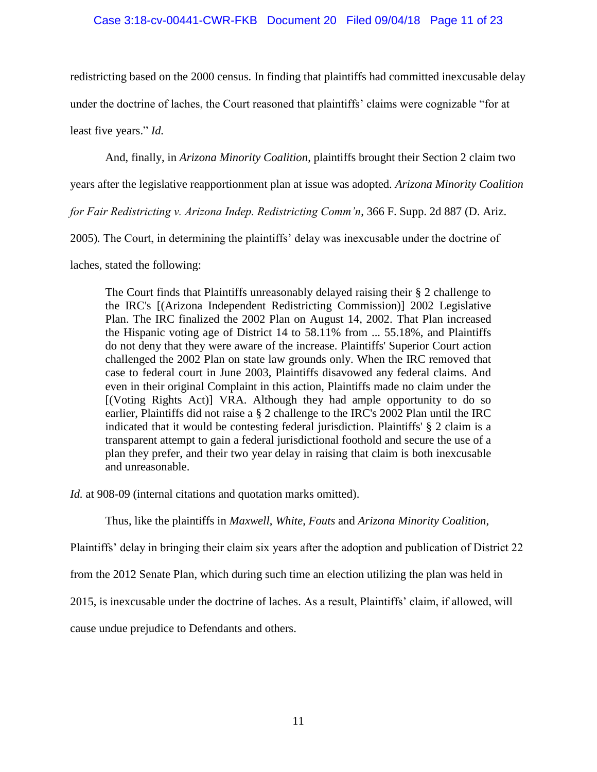## Case 3:18-cv-00441-CWR-FKB Document 20 Filed 09/04/18 Page 11 of 23

redistricting based on the 2000 census. In finding that plaintiffs had committed inexcusable delay

under the doctrine of laches, the Court reasoned that plaintiffs' claims were cognizable "for at

least five years." *Id.*

And, finally, in *Arizona Minority Coalition*, plaintiffs brought their Section 2 claim two

years after the legislative reapportionment plan at issue was adopted. *Arizona Minority Coalition* 

*for Fair Redistricting v. Arizona Indep. Redistricting Comm'n*, 366 F. Supp. 2d 887 (D. Ariz.

2005)*.* The Court, in determining the plaintiffs' delay was inexcusable under the doctrine of

laches, stated the following:

The Court finds that Plaintiffs unreasonably delayed raising their § 2 challenge to the IRC's [(Arizona Independent Redistricting Commission)] 2002 Legislative Plan. The IRC finalized the 2002 Plan on August 14, 2002. That Plan increased the Hispanic voting age of District 14 to 58.11% from ... 55.18%, and Plaintiffs do not deny that they were aware of the increase. Plaintiffs' Superior Court action challenged the 2002 Plan on state law grounds only. When the IRC removed that case to federal court in June 2003, Plaintiffs disavowed any federal claims. And even in their original Complaint in this action, Plaintiffs made no claim under the [(Voting Rights Act)] VRA. Although they had ample opportunity to do so earlier, Plaintiffs did not raise a § 2 challenge to the IRC's 2002 Plan until the IRC indicated that it would be contesting federal jurisdiction. Plaintiffs' § 2 claim is a transparent attempt to gain a federal jurisdictional foothold and secure the use of a plan they prefer, and their two year delay in raising that claim is both inexcusable and unreasonable.

*Id.* at 908-09 (internal citations and quotation marks omitted).

Thus, like the plaintiffs in *Maxwell*, *White*, *Fouts* and *Arizona Minority Coalition*,

Plaintiffs' delay in bringing their claim six years after the adoption and publication of District 22

from the 2012 Senate Plan, which during such time an election utilizing the plan was held in

2015, is inexcusable under the doctrine of laches. As a result, Plaintiffs' claim, if allowed, will

cause undue prejudice to Defendants and others.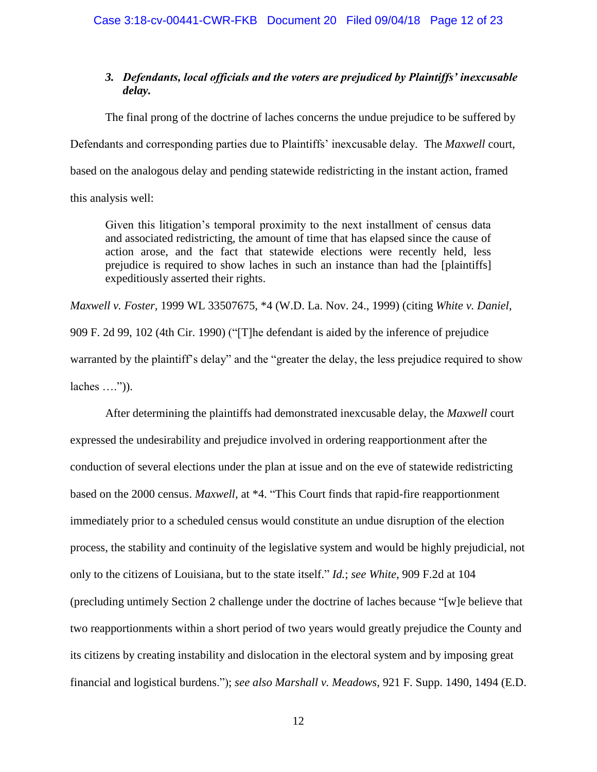## *3. Defendants, local officials and the voters are prejudiced by Plaintiffs' inexcusable delay.*

The final prong of the doctrine of laches concerns the undue prejudice to be suffered by Defendants and corresponding parties due to Plaintiffs' inexcusable delay. The *Maxwell* court, based on the analogous delay and pending statewide redistricting in the instant action, framed this analysis well:

Given this litigation's temporal proximity to the next installment of census data and associated redistricting, the amount of time that has elapsed since the cause of action arose, and the fact that statewide elections were recently held, less prejudice is required to show laches in such an instance than had the [plaintiffs] expeditiously asserted their rights.

*Maxwell v. Foster,* 1999 WL 33507675, \*4 (W.D. La. Nov. 24., 1999) (citing *White v. Daniel*, 909 F. 2d 99, 102 (4th Cir. 1990) ("[T]he defendant is aided by the inference of prejudice warranted by the plaintiff's delay" and the "greater the delay, the less prejudice required to show  $laches \ldots$ ".

After determining the plaintiffs had demonstrated inexcusable delay, the *Maxwell* court expressed the undesirability and prejudice involved in ordering reapportionment after the conduction of several elections under the plan at issue and on the eve of statewide redistricting based on the 2000 census. *Maxwell,* at \*4. "This Court finds that rapid-fire reapportionment immediately prior to a scheduled census would constitute an undue disruption of the election process, the stability and continuity of the legislative system and would be highly prejudicial, not only to the citizens of Louisiana, but to the state itself." *Id.*; *see White*, 909 F.2d at 104 (precluding untimely Section 2 challenge under the doctrine of laches because "[w]e believe that two reapportionments within a short period of two years would greatly prejudice the County and its citizens by creating instability and dislocation in the electoral system and by imposing great financial and logistical burdens."); *see also Marshall v. Meadows*, 921 F. Supp. 1490, 1494 (E.D.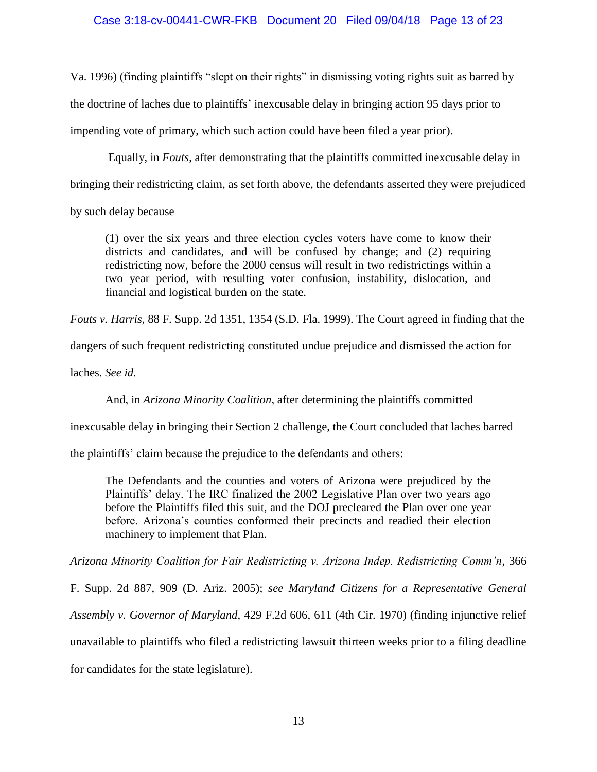# Case 3:18-cv-00441-CWR-FKB Document 20 Filed 09/04/18 Page 13 of 23

Va. 1996) (finding plaintiffs "slept on their rights" in dismissing voting rights suit as barred by the doctrine of laches due to plaintiffs' inexcusable delay in bringing action 95 days prior to impending vote of primary, which such action could have been filed a year prior).

Equally, in *Fouts*, after demonstrating that the plaintiffs committed inexcusable delay in

bringing their redistricting claim, as set forth above, the defendants asserted they were prejudiced

by such delay because

(1) over the six years and three election cycles voters have come to know their districts and candidates, and will be confused by change; and (2) requiring redistricting now, before the 2000 census will result in two redistrictings within a two year period, with resulting voter confusion, instability, dislocation, and financial and logistical burden on the state.

*Fouts v. Harris*, 88 F. Supp. 2d 1351, 1354 (S.D. Fla. 1999). The Court agreed in finding that the

dangers of such frequent redistricting constituted undue prejudice and dismissed the action for

laches. *See id.*

And, in *Arizona Minority Coalition*, after determining the plaintiffs committed

inexcusable delay in bringing their Section 2 challenge, the Court concluded that laches barred

the plaintiffs' claim because the prejudice to the defendants and others:

The Defendants and the counties and voters of Arizona were prejudiced by the Plaintiffs' delay. The IRC finalized the 2002 Legislative Plan over two years ago before the Plaintiffs filed this suit, and the DOJ precleared the Plan over one year before. Arizona's counties conformed their precincts and readied their election machinery to implement that Plan.

*Arizona Minority Coalition for Fair Redistricting v. Arizona Indep. Redistricting Comm'n*, 366

F. Supp. 2d 887, 909 (D. Ariz. 2005); *see Maryland Citizens for a Representative General Assembly v. Governor of Maryland*, 429 F.2d 606, 611 (4th Cir. 1970) (finding injunctive relief unavailable to plaintiffs who filed a redistricting lawsuit thirteen weeks prior to a filing deadline for candidates for the state legislature).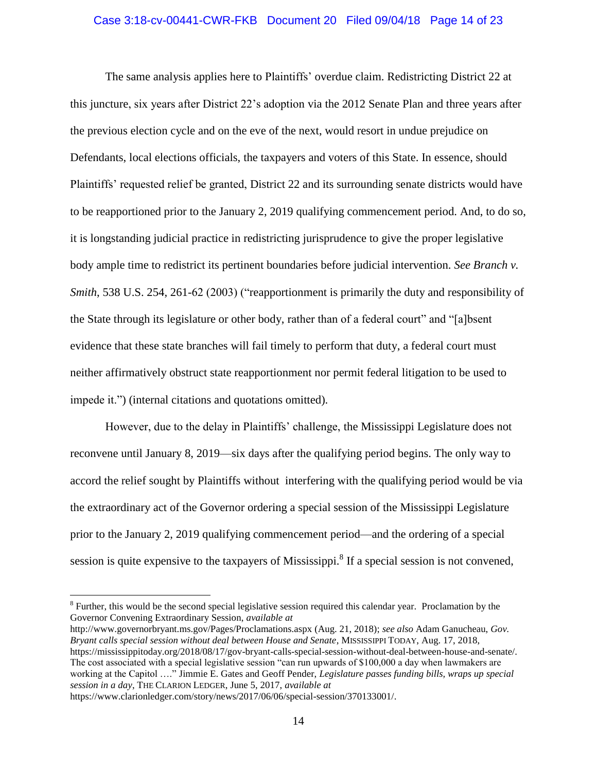### Case 3:18-cv-00441-CWR-FKB Document 20 Filed 09/04/18 Page 14 of 23

The same analysis applies here to Plaintiffs' overdue claim. Redistricting District 22 at this juncture, six years after District 22's adoption via the 2012 Senate Plan and three years after the previous election cycle and on the eve of the next, would resort in undue prejudice on Defendants, local elections officials, the taxpayers and voters of this State. In essence, should Plaintiffs' requested relief be granted, District 22 and its surrounding senate districts would have to be reapportioned prior to the January 2, 2019 qualifying commencement period. And, to do so, it is longstanding judicial practice in redistricting jurisprudence to give the proper legislative body ample time to redistrict its pertinent boundaries before judicial intervention. *See Branch v. Smith*, 538 U.S. 254, 261-62 (2003) ("reapportionment is primarily the duty and responsibility of the State through its legislature or other body, rather than of a federal court" and "[a]bsent evidence that these state branches will fail timely to perform that duty, a federal court must neither affirmatively obstruct state reapportionment nor permit federal litigation to be used to impede it.") (internal citations and quotations omitted).

However, due to the delay in Plaintiffs' challenge, the Mississippi Legislature does not reconvene until January 8, 2019—six days after the qualifying period begins. The only way to accord the relief sought by Plaintiffs without interfering with the qualifying period would be via the extraordinary act of the Governor ordering a special session of the Mississippi Legislature prior to the January 2, 2019 qualifying commencement period—and the ordering of a special session is quite expensive to the taxpayers of Mississippi.<sup>8</sup> If a special session is not convened,

http://www.governorbryant.ms.gov/Pages/Proclamations.aspx (Aug. 21, 2018); *see also* Adam Ganucheau, *Gov. Bryant calls special session without deal between House and Senate*, MISSISSIPPI TODAY, Aug. 17, 2018, https://mississippitoday.org/2018/08/17/gov-bryant-calls-special-session-without-deal-between-house-and-senate/. The cost associated with a special legislative session "can run upwards of \$100,000 a day when lawmakers are working at the Capitol …." Jimmie E. Gates and Geoff Pender, *Legislature passes funding bills, wraps up special session in a day*, THE CLARION LEDGER, June 5, 2017, *available at*

https://www.clarionledger.com/story/news/2017/06/06/special-session/370133001/.

 $8$  Further, this would be the second special legislative session required this calendar year. Proclamation by the Governor Convening Extraordinary Session, *available at*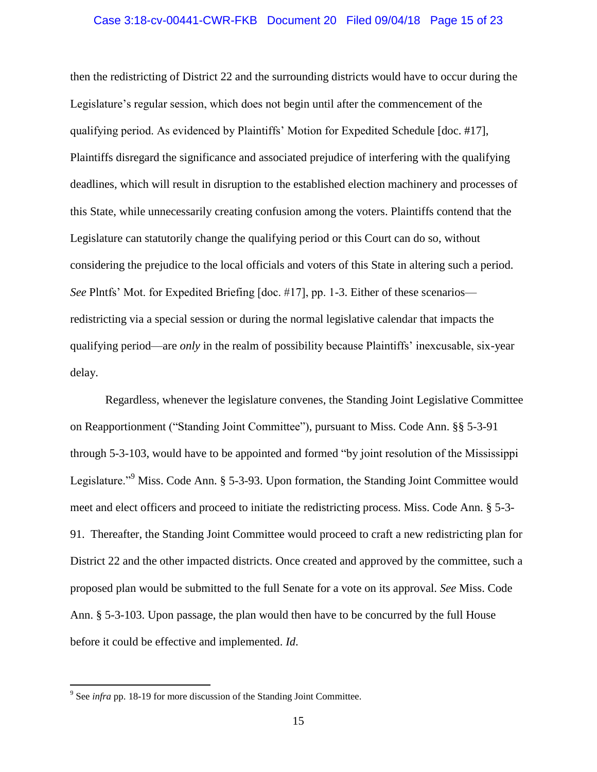### Case 3:18-cv-00441-CWR-FKB Document 20 Filed 09/04/18 Page 15 of 23

then the redistricting of District 22 and the surrounding districts would have to occur during the Legislature's regular session, which does not begin until after the commencement of the qualifying period. As evidenced by Plaintiffs' Motion for Expedited Schedule [doc. #17], Plaintiffs disregard the significance and associated prejudice of interfering with the qualifying deadlines, which will result in disruption to the established election machinery and processes of this State, while unnecessarily creating confusion among the voters. Plaintiffs contend that the Legislature can statutorily change the qualifying period or this Court can do so, without considering the prejudice to the local officials and voters of this State in altering such a period. *See* Plntfs' Mot. for Expedited Briefing [doc. #17], pp. 1-3. Either of these scenarios redistricting via a special session or during the normal legislative calendar that impacts the qualifying period—are *only* in the realm of possibility because Plaintiffs' inexcusable, six-year delay.

Regardless, whenever the legislature convenes, the Standing Joint Legislative Committee on Reapportionment ("Standing Joint Committee"), pursuant to Miss. Code Ann. §§ 5-3-91 through 5-3-103, would have to be appointed and formed "by joint resolution of the Mississippi Legislature."<sup>9</sup> Miss. Code Ann. § 5-3-93. Upon formation, the Standing Joint Committee would meet and elect officers and proceed to initiate the redistricting process. Miss. Code Ann. § 5-3- 91. Thereafter, the Standing Joint Committee would proceed to craft a new redistricting plan for District 22 and the other impacted districts. Once created and approved by the committee, such a proposed plan would be submitted to the full Senate for a vote on its approval. *See* Miss. Code Ann. § 5-3-103. Upon passage, the plan would then have to be concurred by the full House before it could be effective and implemented. *Id*.

<sup>&</sup>lt;sup>9</sup> See *infra* pp. 18-19 for more discussion of the Standing Joint Committee.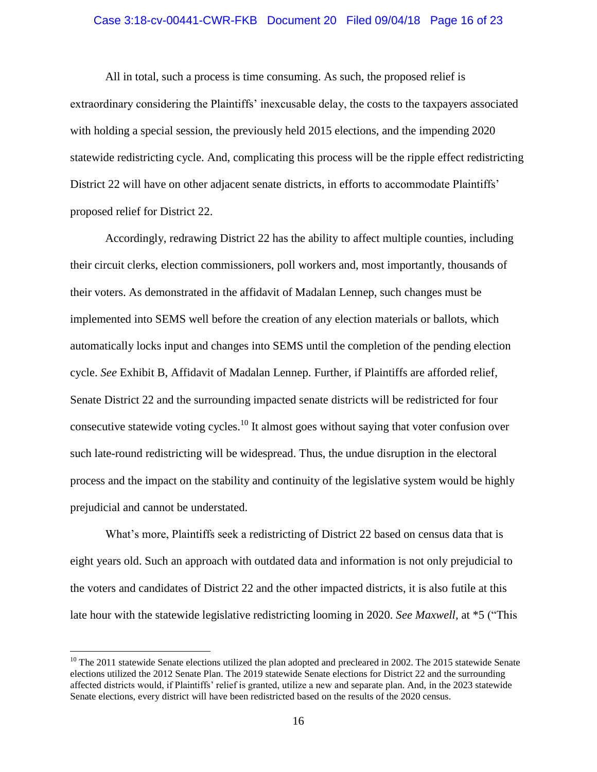### Case 3:18-cv-00441-CWR-FKB Document 20 Filed 09/04/18 Page 16 of 23

All in total, such a process is time consuming. As such, the proposed relief is extraordinary considering the Plaintiffs' inexcusable delay, the costs to the taxpayers associated with holding a special session, the previously held 2015 elections, and the impending 2020 statewide redistricting cycle. And, complicating this process will be the ripple effect redistricting District 22 will have on other adjacent senate districts, in efforts to accommodate Plaintiffs' proposed relief for District 22.

Accordingly, redrawing District 22 has the ability to affect multiple counties, including their circuit clerks, election commissioners, poll workers and, most importantly, thousands of their voters. As demonstrated in the affidavit of Madalan Lennep, such changes must be implemented into SEMS well before the creation of any election materials or ballots, which automatically locks input and changes into SEMS until the completion of the pending election cycle. *See* Exhibit B, Affidavit of Madalan Lennep. Further, if Plaintiffs are afforded relief, Senate District 22 and the surrounding impacted senate districts will be redistricted for four consecutive statewide voting cycles.<sup>10</sup> It almost goes without saying that voter confusion over such late-round redistricting will be widespread. Thus, the undue disruption in the electoral process and the impact on the stability and continuity of the legislative system would be highly prejudicial and cannot be understated.

What's more, Plaintiffs seek a redistricting of District 22 based on census data that is eight years old. Such an approach with outdated data and information is not only prejudicial to the voters and candidates of District 22 and the other impacted districts, it is also futile at this late hour with the statewide legislative redistricting looming in 2020. *See Maxwell,* at \*5 ("This

 $10$  The 2011 statewide Senate elections utilized the plan adopted and precleared in 2002. The 2015 statewide Senate elections utilized the 2012 Senate Plan. The 2019 statewide Senate elections for District 22 and the surrounding affected districts would, if Plaintiffs' relief is granted, utilize a new and separate plan. And, in the 2023 statewide Senate elections, every district will have been redistricted based on the results of the 2020 census.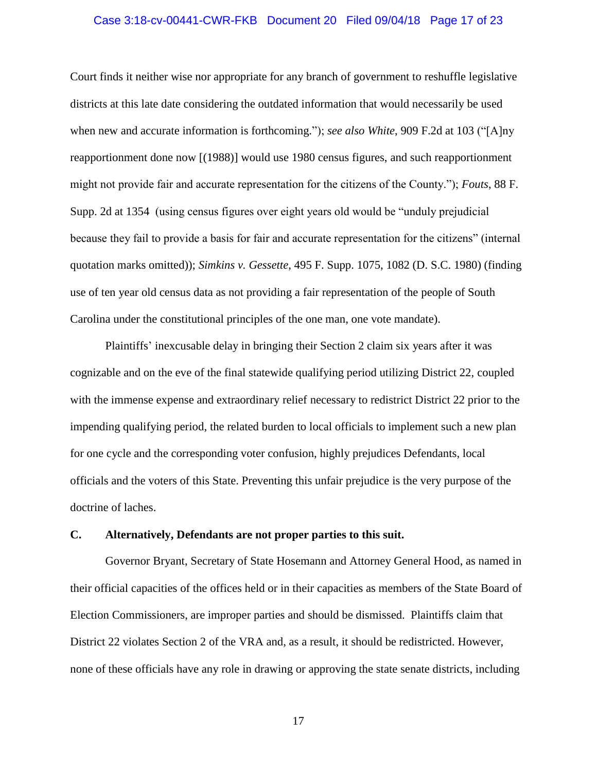### Case 3:18-cv-00441-CWR-FKB Document 20 Filed 09/04/18 Page 17 of 23

Court finds it neither wise nor appropriate for any branch of government to reshuffle legislative districts at this late date considering the outdated information that would necessarily be used when new and accurate information is forthcoming."); *see also White*, 909 F.2d at 103 ("[A]ny reapportionment done now [(1988)] would use 1980 census figures, and such reapportionment might not provide fair and accurate representation for the citizens of the County."); *Fouts*, 88 F. Supp. 2d at 1354 (using census figures over eight years old would be "unduly prejudicial because they fail to provide a basis for fair and accurate representation for the citizens" (internal quotation marks omitted)); *Simkins v. Gessette*, 495 F. Supp. 1075, 1082 (D. S.C. 1980) (finding use of ten year old census data as not providing a fair representation of the people of South Carolina under the constitutional principles of the one man, one vote mandate).

Plaintiffs' inexcusable delay in bringing their Section 2 claim six years after it was cognizable and on the eve of the final statewide qualifying period utilizing District 22, coupled with the immense expense and extraordinary relief necessary to redistrict District 22 prior to the impending qualifying period, the related burden to local officials to implement such a new plan for one cycle and the corresponding voter confusion, highly prejudices Defendants, local officials and the voters of this State. Preventing this unfair prejudice is the very purpose of the doctrine of laches.

### **C. Alternatively, Defendants are not proper parties to this suit.**

Governor Bryant, Secretary of State Hosemann and Attorney General Hood, as named in their official capacities of the offices held or in their capacities as members of the State Board of Election Commissioners, are improper parties and should be dismissed. Plaintiffs claim that District 22 violates Section 2 of the VRA and, as a result, it should be redistricted. However, none of these officials have any role in drawing or approving the state senate districts, including

17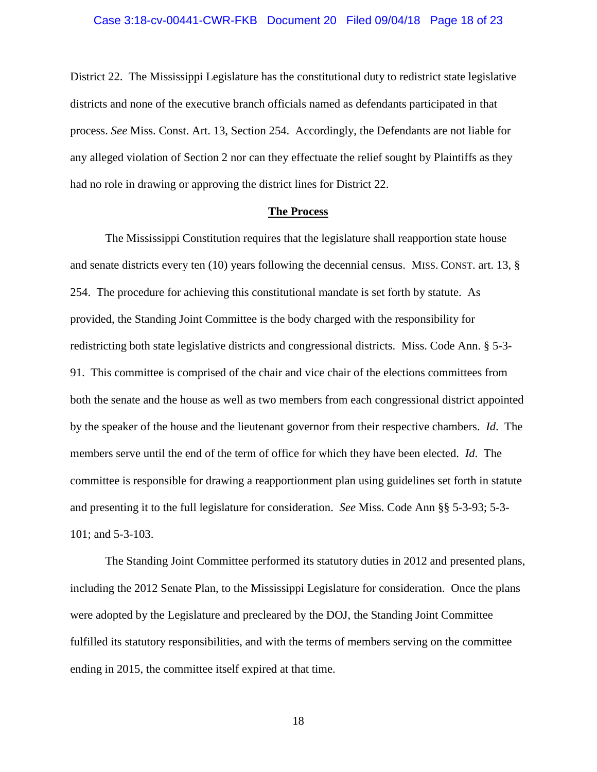District 22. The Mississippi Legislature has the constitutional duty to redistrict state legislative districts and none of the executive branch officials named as defendants participated in that process. *See* Miss. Const. Art. 13, Section 254. Accordingly, the Defendants are not liable for any alleged violation of Section 2 nor can they effectuate the relief sought by Plaintiffs as they had no role in drawing or approving the district lines for District 22.

#### **The Process**

The Mississippi Constitution requires that the legislature shall reapportion state house and senate districts every ten (10) years following the decennial census. MISS. CONST. art. 13, § 254. The procedure for achieving this constitutional mandate is set forth by statute. As provided, the Standing Joint Committee is the body charged with the responsibility for redistricting both state legislative districts and congressional districts. Miss. Code Ann. § 5-3- 91. This committee is comprised of the chair and vice chair of the elections committees from both the senate and the house as well as two members from each congressional district appointed by the speaker of the house and the lieutenant governor from their respective chambers. *Id*. The members serve until the end of the term of office for which they have been elected. *Id*. The committee is responsible for drawing a reapportionment plan using guidelines set forth in statute and presenting it to the full legislature for consideration. *See* Miss. Code Ann §§ 5-3-93; 5-3- 101; and 5-3-103.

The Standing Joint Committee performed its statutory duties in 2012 and presented plans, including the 2012 Senate Plan, to the Mississippi Legislature for consideration. Once the plans were adopted by the Legislature and precleared by the DOJ, the Standing Joint Committee fulfilled its statutory responsibilities, and with the terms of members serving on the committee ending in 2015, the committee itself expired at that time.

18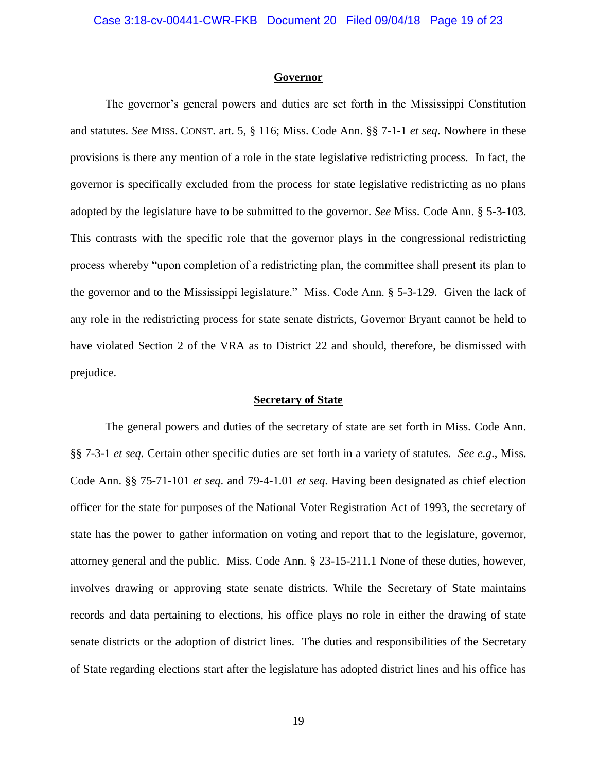#### **Governor**

The governor's general powers and duties are set forth in the Mississippi Constitution and statutes. *See* MISS. CONST. art. 5, § 116; Miss. Code Ann. §§ 7-1-1 *et seq*. Nowhere in these provisions is there any mention of a role in the state legislative redistricting process. In fact, the governor is specifically excluded from the process for state legislative redistricting as no plans adopted by the legislature have to be submitted to the governor. *See* Miss. Code Ann. § 5-3-103. This contrasts with the specific role that the governor plays in the congressional redistricting process whereby "upon completion of a redistricting plan, the committee shall present its plan to the governor and to the Mississippi legislature." Miss. Code Ann. § 5-3-129. Given the lack of any role in the redistricting process for state senate districts, Governor Bryant cannot be held to have violated Section 2 of the VRA as to District 22 and should, therefore, be dismissed with prejudice.

### **Secretary of State**

The general powers and duties of the secretary of state are set forth in Miss. Code Ann. §§ 7-3-1 *et seq.* Certain other specific duties are set forth in a variety of statutes. *See e.g*., Miss. Code Ann. §§ 75-71-101 *et seq*. and 79-4-1.01 *et seq*. Having been designated as chief election officer for the state for purposes of the National Voter Registration Act of 1993, the secretary of state has the power to gather information on voting and report that to the legislature, governor, attorney general and the public. Miss. Code Ann. § 23-15-211.1 None of these duties, however, involves drawing or approving state senate districts. While the Secretary of State maintains records and data pertaining to elections, his office plays no role in either the drawing of state senate districts or the adoption of district lines. The duties and responsibilities of the Secretary of State regarding elections start after the legislature has adopted district lines and his office has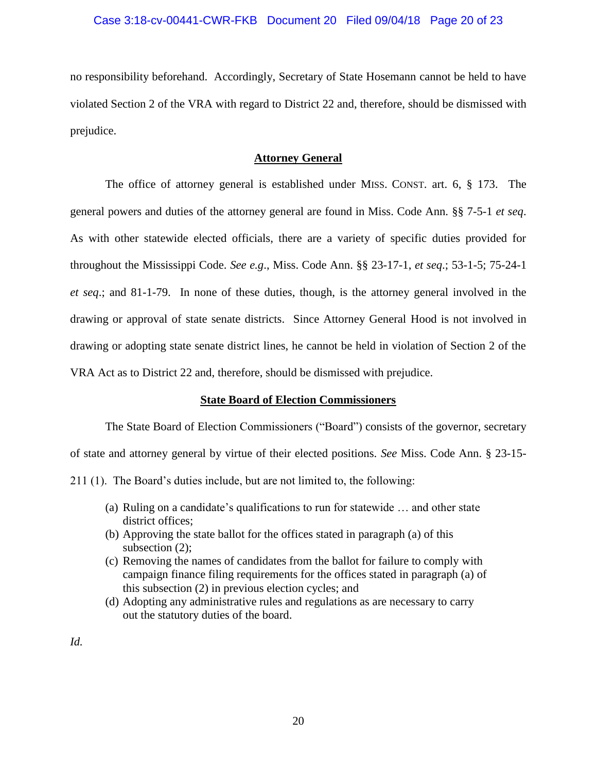### Case 3:18-cv-00441-CWR-FKB Document 20 Filed 09/04/18 Page 20 of 23

no responsibility beforehand. Accordingly, Secretary of State Hosemann cannot be held to have violated Section 2 of the VRA with regard to District 22 and, therefore, should be dismissed with prejudice.

### **Attorney General**

The office of attorney general is established under MISS. CONST. art. 6, § 173. The general powers and duties of the attorney general are found in Miss. Code Ann. §§ 7-5-1 *et seq*. As with other statewide elected officials, there are a variety of specific duties provided for throughout the Mississippi Code. *See e.g*., Miss. Code Ann. §§ 23-17-1, *et seq*.; 53-1-5; 75-24-1 *et seq*.; and 81-1-79. In none of these duties, though, is the attorney general involved in the drawing or approval of state senate districts. Since Attorney General Hood is not involved in drawing or adopting state senate district lines, he cannot be held in violation of Section 2 of the VRA Act as to District 22 and, therefore, should be dismissed with prejudice.

## **State Board of Election Commissioners**

The State Board of Election Commissioners ("Board") consists of the governor, secretary of state and attorney general by virtue of their elected positions. *See* Miss. Code Ann. § 23-15-

211 (1). The Board's duties include, but are not limited to, the following:

- (a) Ruling on a candidate's qualifications to run for statewide … and other state district offices;
- (b) Approving the state ballot for the offices stated in paragraph (a) of this subsection (2);
- (c) Removing the names of candidates from the ballot for failure to comply with campaign finance filing requirements for the offices stated in paragraph (a) of this subsection (2) in previous election cycles; and
- (d) Adopting any administrative rules and regulations as are necessary to carry out the statutory duties of the board.

*Id.*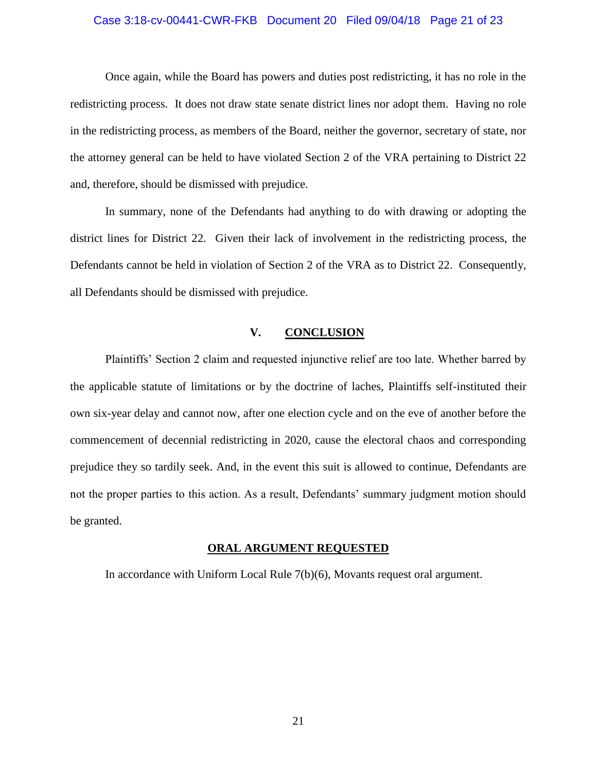### Case 3:18-cv-00441-CWR-FKB Document 20 Filed 09/04/18 Page 21 of 23

Once again, while the Board has powers and duties post redistricting, it has no role in the redistricting process. It does not draw state senate district lines nor adopt them. Having no role in the redistricting process, as members of the Board, neither the governor, secretary of state, nor the attorney general can be held to have violated Section 2 of the VRA pertaining to District 22 and, therefore, should be dismissed with prejudice.

In summary, none of the Defendants had anything to do with drawing or adopting the district lines for District 22. Given their lack of involvement in the redistricting process, the Defendants cannot be held in violation of Section 2 of the VRA as to District 22. Consequently, all Defendants should be dismissed with prejudice.

## **V. CONCLUSION**

Plaintiffs' Section 2 claim and requested injunctive relief are too late. Whether barred by the applicable statute of limitations or by the doctrine of laches, Plaintiffs self-instituted their own six-year delay and cannot now, after one election cycle and on the eve of another before the commencement of decennial redistricting in 2020, cause the electoral chaos and corresponding prejudice they so tardily seek. And, in the event this suit is allowed to continue, Defendants are not the proper parties to this action. As a result, Defendants' summary judgment motion should be granted.

## **ORAL ARGUMENT REQUESTED**

In accordance with Uniform Local Rule 7(b)(6), Movants request oral argument.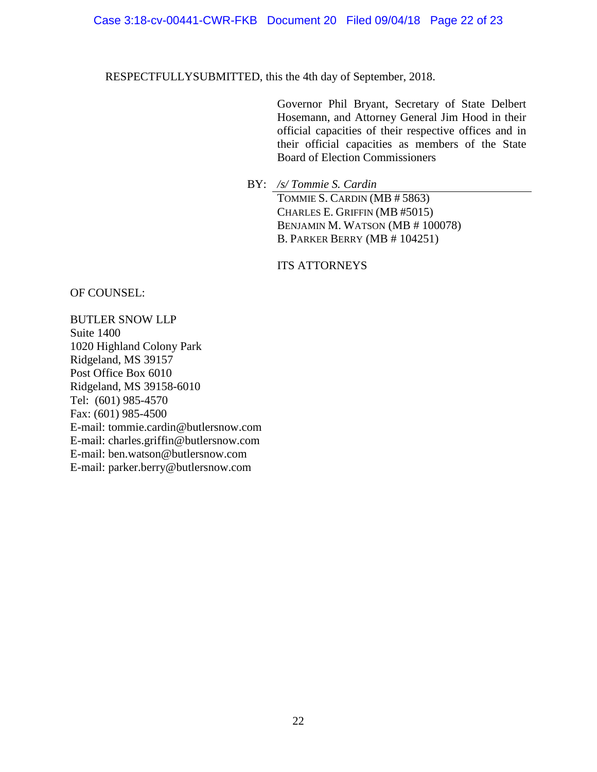## Case 3:18-cv-00441-CWR-FKB Document 20 Filed 09/04/18 Page 22 of 23

RESPECTFULLYSUBMITTED, this the 4th day of September, 2018.

Governor Phil Bryant, Secretary of State Delbert Hosemann, and Attorney General Jim Hood in their official capacities of their respective offices and in their official capacities as members of the State Board of Election Commissioners

BY: */s/ Tommie S. Cardin* TOMMIE S. CARDIN (MB # 5863) CHARLES E. GRIFFIN (MB #5015) BENJAMIN M. WATSON (MB # 100078) B. PARKER BERRY (MB # 104251)

ITS ATTORNEYS

OF COUNSEL:

BUTLER SNOW LLP Suite 1400 1020 Highland Colony Park Ridgeland, MS 39157 Post Office Box 6010 Ridgeland, MS 39158-6010 Tel: (601) 985-4570 Fax: (601) 985-4500 E-mail: tommie.cardin@butlersnow.com E-mail: charles.griffin@butlersnow.com E-mail: ben.watson@butlersnow.com E-mail: parker.berry@butlersnow.com